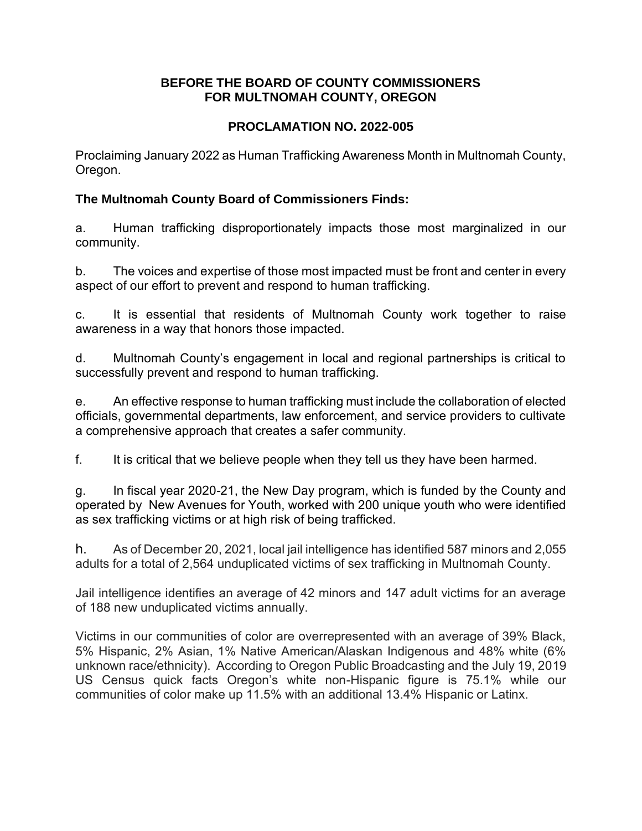#### **BEFORE THE BOARD OF COUNTY COMMISSIONERS FOR MULTNOMAH COUNTY, OREGON**

# **PROCLAMATION NO. 2022-005**

Proclaiming January 2022 as Human Trafficking Awareness Month in Multnomah County, Oregon.

### **The Multnomah County Board of Commissioners Finds:**

a. Human trafficking disproportionately impacts those most marginalized in our community.

b. The voices and expertise of those most impacted must be front and center in every aspect of our effort to prevent and respond to human trafficking.

c. It is essential that residents of Multnomah County work together to raise awareness in a way that honors those impacted.

d. Multnomah County's engagement in local and regional partnerships is critical to successfully prevent and respond to human trafficking.

e. An effective response to human trafficking must include the collaboration of elected officials, governmental departments, law enforcement, and service providers to cultivate a comprehensive approach that creates a safer community.

f. It is critical that we believe people when they tell us they have been harmed.

g. In fiscal year 2020-21, the New Day program, which is funded by the County and operated by New Avenues for Youth, worked with 200 unique youth who were identified as sex trafficking victims or at high risk of being trafficked.

h. As of December 20, 2021, local jail intelligence has identified 587 minors and 2,055 adults for a total of 2,564 unduplicated victims of sex trafficking in Multnomah County.

Jail intelligence identifies an average of 42 minors and 147 adult victims for an average of 188 new unduplicated victims annually.

Victims in our communities of color are overrepresented with an average of 39% Black, 5% Hispanic, 2% Asian, 1% Native American/Alaskan Indigenous and 48% white (6% unknown race/ethnicity). According to Oregon Public Broadcasting and the July 19, 2019 US Census quick facts Oregon's white non-Hispanic figure is 75.1% while our communities of color make up 11.5% with an additional 13.4% Hispanic or Latinx.